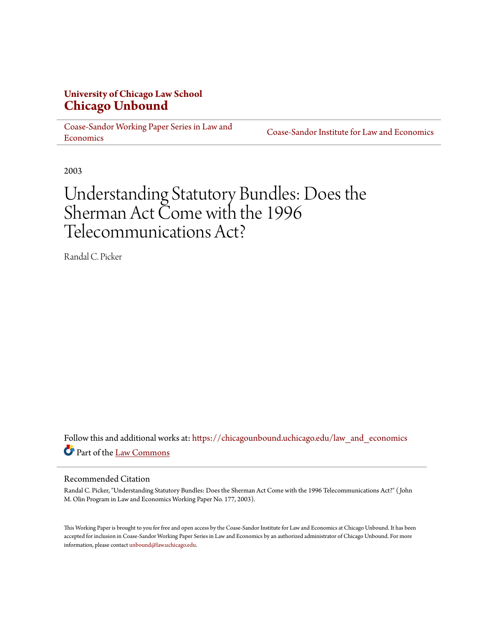## **University of Chicago Law School [Chicago Unbound](https://chicagounbound.uchicago.edu?utm_source=chicagounbound.uchicago.edu%2Flaw_and_economics%2F605&utm_medium=PDF&utm_campaign=PDFCoverPages)**

[Coase-Sandor Working Paper Series in Law and](https://chicagounbound.uchicago.edu/law_and_economics?utm_source=chicagounbound.uchicago.edu%2Flaw_and_economics%2F605&utm_medium=PDF&utm_campaign=PDFCoverPages) **[Economics](https://chicagounbound.uchicago.edu/law_and_economics?utm_source=chicagounbound.uchicago.edu%2Flaw_and_economics%2F605&utm_medium=PDF&utm_campaign=PDFCoverPages)** 

[Coase-Sandor Institute for Law and Economics](https://chicagounbound.uchicago.edu/coase_sandor_institute?utm_source=chicagounbound.uchicago.edu%2Flaw_and_economics%2F605&utm_medium=PDF&utm_campaign=PDFCoverPages)

2003

## Understanding Statutory Bundles: Does the Sherman Act Come with the 1996 Telecommunications Act?

Randal C. Picker

Follow this and additional works at: [https://chicagounbound.uchicago.edu/law\\_and\\_economics](https://chicagounbound.uchicago.edu/law_and_economics?utm_source=chicagounbound.uchicago.edu%2Flaw_and_economics%2F605&utm_medium=PDF&utm_campaign=PDFCoverPages) Part of the [Law Commons](http://network.bepress.com/hgg/discipline/578?utm_source=chicagounbound.uchicago.edu%2Flaw_and_economics%2F605&utm_medium=PDF&utm_campaign=PDFCoverPages)

#### Recommended Citation

Randal C. Picker, "Understanding Statutory Bundles: Does the Sherman Act Come with the 1996 Telecommunications Act?" ( John M. Olin Program in Law and Economics Working Paper No. 177, 2003).

This Working Paper is brought to you for free and open access by the Coase-Sandor Institute for Law and Economics at Chicago Unbound. It has been accepted for inclusion in Coase-Sandor Working Paper Series in Law and Economics by an authorized administrator of Chicago Unbound. For more information, please contact [unbound@law.uchicago.edu.](mailto:unbound@law.uchicago.edu)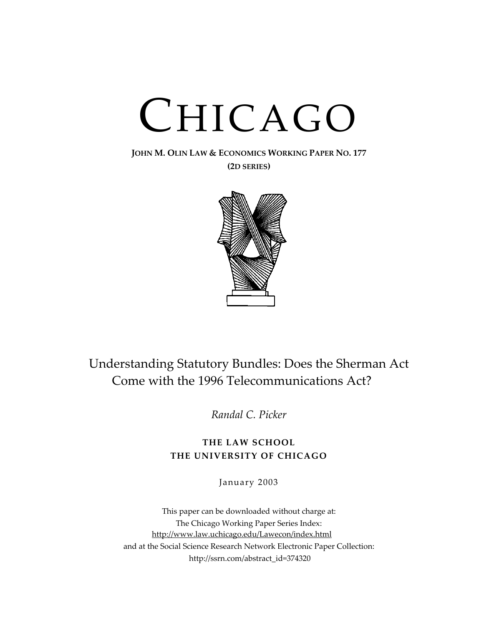# CHICAGO

**JOHN M. OLIN LAW & ECONOMICS WORKING PAPER NO. 177** 

**(2D SERIES)**



## Understanding Statutory Bundles: Does the Sherman Act Come with the 1996 Telecommunications Act?

*Randal C. Picker*

## **THE LAW SCHOOL THE UNIVERSITY OF CHICAGO**

January 2003

This paper can be downloaded without charge at: The Chicago Working Paper Series Index: [http://www.law.uchicago.edu/Lawecon/index.html](http://www.law.uchicago.edu/Publications/Working/index.html) and at the Social Science Research Network Electronic Paper Collection: [http://ssrn.com/abstract\\_id=](http://papers.ssrn.com/sol3/search.taf)374320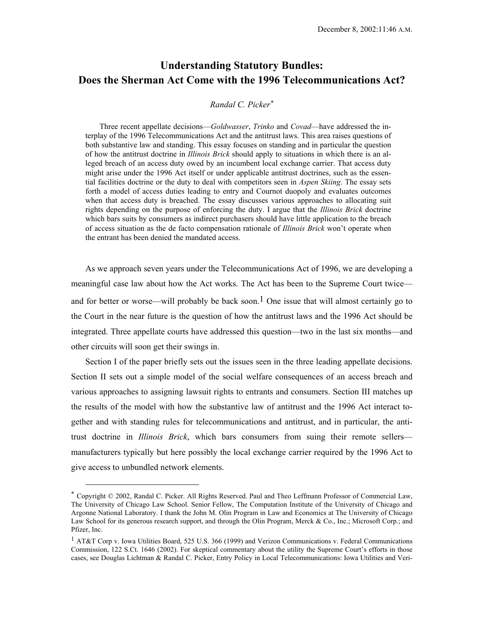## <span id="page-2-1"></span>**Understanding Statutory Bundles: Does the Sherman Act Come with the 1996 Telecommunications Act?**

### *Randal C. Picke[r\\*](#page-2-0)*

Three recent appellate decisions—*Goldwasser*, *Trinko* and *Covad*—have addressed the interplay of the 1996 Telecommunications Act and the antitrust laws. This area raises questions of both substantive law and standing. This essay focuses on standing and in particular the question of how the antitrust doctrine in *Illinois Brick* should apply to situations in which there is an alleged breach of an access duty owed by an incumbent local exchange carrier. That access duty might arise under the 1996 Act itself or under applicable antitrust doctrines, such as the essential facilities doctrine or the duty to deal with competitors seen in *Aspen Skiing*. The essay sets forth a model of access duties leading to entry and Cournot duopoly and evaluates outcomes when that access duty is breached. The essay discusses various approaches to allocating suit rights depending on the purpose of enforcing the duty. I argue that the *Illinois Brick* doctrine which bars suits by consumers as indirect purchasers should have little application to the breach of access situation as the de facto compensation rationale of *Illinois Brick* won't operate when the entrant has been denied the mandated access.

As we approach seven years under the Telecommunications Act of 1996, we are developing a meaningful case law about how the Act works. The Act has been to the Supreme Court twice and for better or worse—will probably be back soon.<sup>1</sup> One issue that will almost certainly go to the Court in the near future is the question of how the antitrust laws and the 1996 Act should be integrated. Three appellate courts have addressed this question—two in the last six months—and other circuits will soon get their swings in.

Section I of the paper briefly sets out the issues seen in the three leading appellate decisions. Section II sets out a simple model of the social welfare consequences of an access breach and various approaches to assigning lawsuit rights to entrants and consumers. Section III matches up the results of the model with how the substantive law of antitrust and the 1996 Act interact together and with standing rules for telecommunications and antitrust, and in particular, the antitrust doctrine in *Illinois Brick*, which bars consumers from suing their remote sellers manufacturers typically but here possibly the local exchange carrier required by the 1996 Act to give access to unbundled network elements.

<span id="page-2-0"></span><sup>\*</sup> Copyright © 2002, Randal C. Picker. All Rights Reserved. Paul and Theo Leffmann Professor of Commercial Law, The University of Chicago Law School. Senior Fellow, The Computation Institute of the University of Chicago and Argonne National Laboratory. I thank the John M. Olin Program in Law and Economics at The University of Chicago Law School for its generous research support, and through the Olin Program, Merck & Co., Inc.; Microsoft Corp.; and Pfizer, Inc.

<sup>&</sup>lt;sup>1</sup> AT&T Corp v. Iowa Utilities Board, 525 U.S. 366 (1999) and Verizon Communications v. Federal Communications Commission, 122 S.Ct. 1646 (2002). For skeptical commentary about the utility the Supreme Court's efforts in those cases, see Douglas Lichtman & Randal C. Picker, Entry Policy in Local Telecommunications: Iowa Utilities and Veri-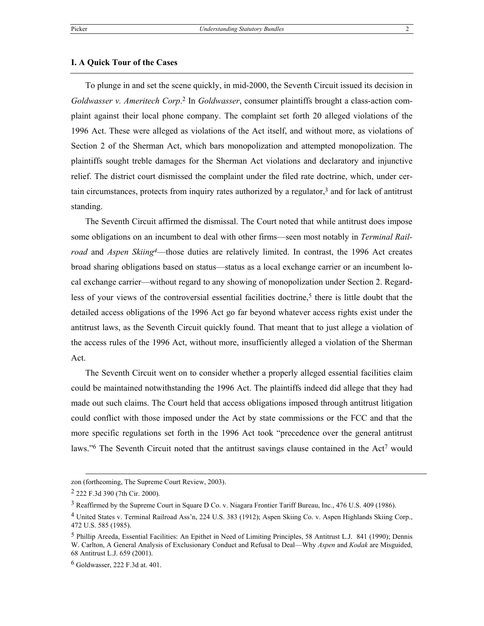#### **I. A Quick Tour of the Cases**

To plunge in and set the scene quickly, in mid-2000, the Seventh Circuit issued its decision in *Goldwasser v. Ameritech Corp*. [2](#page-3-0) In *Goldwasser*, consumer plaintiffs brought a class-action complaint against their local phone company. The complaint set forth 20 alleged violations of the 1996 Act. These were alleged as violations of the Act itself, and without more, as violations of Section 2 of the Sherman Act, which bars monopolization and attempted monopolization. The plaintiffs sought treble damages for the Sherman Act violations and declaratory and injunctive relief. The district court dismissed the complaint under the filed rate doctrine, which, under certain circumstances, protects from inquiry rates authorized by a regulator, $3$  and for lack of antitrust standing.

The Seventh Circuit affirmed the dismissal. The Court noted that while antitrust does impose some obligations on an incumbent to deal with other firms—seen most notably in *Terminal Railroad* and *Aspen Skiing[4](#page-3-2)*—those duties are relatively limited. In contrast, the 1996 Act creates broad sharing obligations based on status—status as a local exchange carrier or an incumbent local exchange carrier—without regard to any showing of monopolization under Section 2. Regardless of your views of the controversial essential facilities doctrine,<sup>5</sup> there is little doubt that the detailed access obligations of the 1996 Act go far beyond whatever access rights exist under the antitrust laws, as the Seventh Circuit quickly found. That meant that to just allege a violation of the access rules of the 1996 Act, without more, insufficiently alleged a violation of the Sherman Act.

The Seventh Circuit went on to consider whether a properly alleged essential facilities claim could be maintained notwithstanding the 1996 Act. The plaintiffs indeed did allege that they had made out such claims. The Court held that access obligations imposed through antitrust litigation could conflict with those imposed under the Act by state commissions or the FCC and that the more specific regulations set forth in the 1996 Act took "precedence over the general antitrust laws."<sup>6</sup> The Seventh Circuit noted that the antitrust savings clause contained in the Act<sup>7</sup> would

zon (forthcoming, The Supreme Court Review, 2003).

<span id="page-3-0"></span><sup>2 222</sup> F.3d 390 (7th Cir. 2000).

<span id="page-3-1"></span><sup>3</sup> Reaffirmed by the Supreme Court in Square D Co. v. Niagara Frontier Tariff Bureau, Inc., 476 U.S. 409 (1986).

<span id="page-3-2"></span><sup>4</sup> United States v. Terminal Railroad Ass'n, 224 U.S. 383 (1912); Aspen Skiing Co. v. Aspen Highlands Skiing Corp., 472 U.S. 585 (1985).

<span id="page-3-3"></span><sup>5</sup> Phillip Areeda, Essential Facilities: An Epithet in Need of Limiting Principles, 58 Antitrust L.J. 841 (1990); Dennis W. Carlton, A General Analysis of Exclusionary Conduct and Refusal to Deal—Why *Aspen* and *Kodak* are Misguided, 68 Antitrust L.J. 659 (2001).

<span id="page-3-4"></span><sup>6</sup> Goldwasser, 222 F.3d at. 401.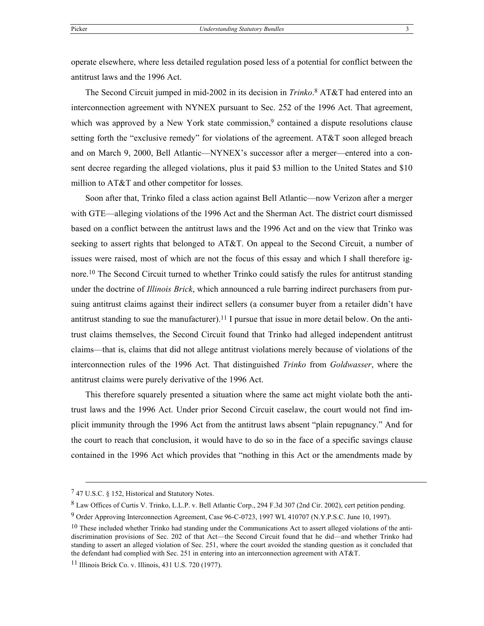operate elsewhere, where less detailed regulation posed less of a potential for conflict between the antitrust laws and the 1996 Act.

The Second Circuit jumped in mid-2002 in its decision in *Trinko*. [8 A](#page-4-0)T&T had entered into an interconnection agreement with NYNEX pursuant to Sec. 252 of the 1996 Act. That agreement, which was approved by a New York state commission,<sup>9</sup> contained a dispute resolutions clause setting forth the "exclusive remedy" for violations of the agreement. AT&T soon alleged breach and on March 9, 2000, Bell Atlantic—NYNEX's successor after a merger—entered into a consent decree regarding the alleged violations, plus it paid \$3 million to the United States and \$10 million to AT&T and other competitor for losses.

Soon after that, Trinko filed a class action against Bell Atlantic—now Verizon after a merger with GTE—alleging violations of the 1996 Act and the Sherman Act. The district court dismissed based on a conflict between the antitrust laws and the 1996 Act and on the view that Trinko was seeking to assert rights that belonged to AT&T. On appeal to the Second Circuit, a number of issues were raised, most of which are not the focus of this essay and which I shall therefore ignore.<sup>10</sup> The Second Circuit turned to whether Trinko could satisfy the rules for antitrust standing under the doctrine of *Illinois Brick*, which announced a rule barring indirect purchasers from pursuing antitrust claims against their indirect sellers (a consumer buyer from a retailer didn't have antitrust standing to sue the manufacturer).<sup>11</sup> I pursue that issue in more detail below. On the antitrust claims themselves, the Second Circuit found that Trinko had alleged independent antitrust claims—that is, claims that did not allege antitrust violations merely because of violations of the interconnection rules of the 1996 Act. That distinguished *Trinko* from *Goldwasser*, where the antitrust claims were purely derivative of the 1996 Act.

This therefore squarely presented a situation where the same act might violate both the antitrust laws and the 1996 Act. Under prior Second Circuit caselaw, the court would not find implicit immunity through the 1996 Act from the antitrust laws absent "plain repugnancy." And for the court to reach that conclusion, it would have to do so in the face of a specific savings clause contained in the 1996 Act which provides that "nothing in this Act or the amendments made by

<sup>7 47</sup> U.S.C. § 152, Historical and Statutory Notes.

<span id="page-4-0"></span><sup>8</sup> Law Offices of Curtis V. Trinko, L.L.P. v. Bell Atlantic Corp., 294 F.3d 307 (2nd Cir. 2002), cert petition pending.

<span id="page-4-1"></span><sup>9</sup> Order Approving Interconnection Agreement, Case 96-C-0723, 1997 WL 410707 (N.Y.P.S.C. June 10, 1997).

<span id="page-4-2"></span> $10$  These included whether Trinko had standing under the Communications Act to assert alleged violations of the antidiscrimination provisions of Sec. 202 of that Act—the Second Circuit found that he did—and whether Trinko had standing to assert an alleged violation of Sec. 251, where the court avoided the standing question as it concluded that the defendant had complied with Sec. 251 in entering into an interconnection agreement with AT&T.

<span id="page-4-3"></span><sup>11</sup> Illinois Brick Co. v. Illinois, 431 U.S. 720 (1977).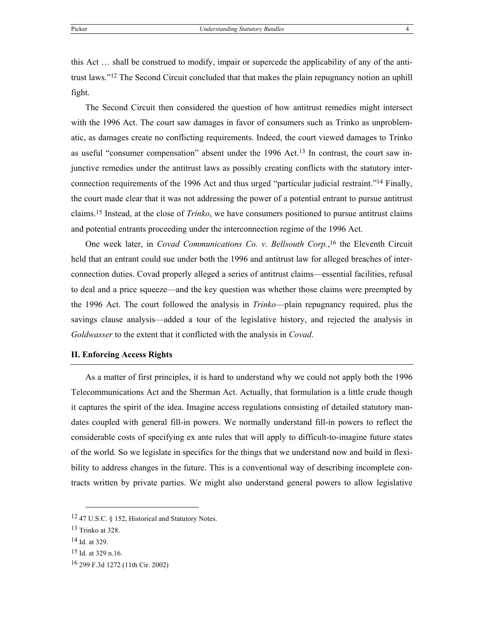this Act … shall be construed to modify, impair or supercede the applicability of any of the antitrust laws.["12 T](#page-5-0)he Second Circuit concluded that that makes the plain repugnancy notion an uphill fight.

The Second Circuit then considered the question of how antitrust remedies might intersect with the 1996 Act. The court saw damages in favor of consumers such as Trinko as unproblematic, as damages create no conflicting requirements. Indeed, the court viewed damages to Trinko as useful "consumer compensation" absent under the  $1996$  Act.<sup>13</sup> In contrast, the court saw injunctive remedies under the antitrust laws as possibly creating conflicts with the statutory interconnection requirements of the 1996 Act and thus urged "particular judicial restraint.["14](#page-5-2) Finally, the court made clear that it was not addressing the power of a potential entrant to pursue antitrust claims.[15 I](#page-5-3)nstead, at the close of *Trinko*, we have consumers positioned to pursue antitrust claims and potential entrants proceeding under the interconnection regime of the 1996 Act.

One week later, in *Covad Communications Co. v. Bellsouth Corp.*, [16](#page-5-4) the Eleventh Circuit held that an entrant could sue under both the 1996 and antitrust law for alleged breaches of interconnection duties. Covad properly alleged a series of antitrust claims—essential facilities, refusal to deal and a price squeeze—and the key question was whether those claims were preempted by the 1996 Act. The court followed the analysis in *Trinko*—plain repugnancy required, plus the savings clause analysis—added a tour of the legislative history, and rejected the analysis in *Goldwasser* to the extent that it conflicted with the analysis in *Covad*.

#### **II. Enforcing Access Rights**

As a matter of first principles, it is hard to understand why we could not apply both the 1996 Telecommunications Act and the Sherman Act. Actually, that formulation is a little crude though it captures the spirit of the idea. Imagine access regulations consisting of detailed statutory mandates coupled with general fill-in powers. We normally understand fill-in powers to reflect the considerable costs of specifying ex ante rules that will apply to difficult-to-imagine future states of the world. So we legislate in specifics for the things that we understand now and build in flexibility to address changes in the future. This is a conventional way of describing incomplete contracts written by private parties. We might also understand general powers to allow legislative

<span id="page-5-0"></span><sup>12 47</sup> U.S.C. § 152, Historical and Statutory Notes.

<span id="page-5-1"></span><sup>13</sup> Trinko at 328.

<span id="page-5-2"></span><sup>14</sup> Id. at 329.

<span id="page-5-3"></span><sup>15</sup> Id. at 329 n.16.

<span id="page-5-4"></span><sup>16 299</sup> F.3d 1272 (11th Cir. 2002)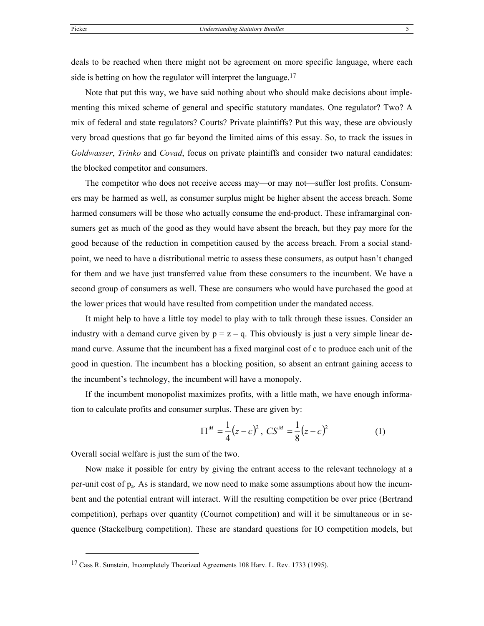deals to be reached when there might not be agreement on more specific language, where each side is betting on how the regulator will interpret the language.<sup>[17](#page-6-0)</sup>

Note that put this way, we have said nothing about who should make decisions about implementing this mixed scheme of general and specific statutory mandates. One regulator? Two? A mix of federal and state regulators? Courts? Private plaintiffs? Put this way, these are obviously very broad questions that go far beyond the limited aims of this essay. So, to track the issues in *Goldwasser*, *Trinko* and *Covad*, focus on private plaintiffs and consider two natural candidates: the blocked competitor and consumers.

The competitor who does not receive access may—or may not—suffer lost profits. Consumers may be harmed as well, as consumer surplus might be higher absent the access breach. Some harmed consumers will be those who actually consume the end-product. These inframarginal consumers get as much of the good as they would have absent the breach, but they pay more for the good because of the reduction in competition caused by the access breach. From a social standpoint, we need to have a distributional metric to assess these consumers, as output hasn't changed for them and we have just transferred value from these consumers to the incumbent. We have a second group of consumers as well. These are consumers who would have purchased the good at the lower prices that would have resulted from competition under the mandated access.

It might help to have a little toy model to play with to talk through these issues. Consider an industry with a demand curve given by  $p = z - q$ . This obviously is just a very simple linear demand curve. Assume that the incumbent has a fixed marginal cost of c to produce each unit of the good in question. The incumbent has a blocking position, so absent an entrant gaining access to the incumbent's technology, the incumbent will have a monopoly.

If the incumbent monopolist maximizes profits, with a little math, we have enough information to calculate profits and consumer surplus. These are given by:

$$
\Pi^M = \frac{1}{4} (z - c)^2, \ CS^M = \frac{1}{8} (z - c)^2 \tag{1}
$$

Overall social welfare is just the sum of the two.

-

Now make it possible for entry by giving the entrant access to the relevant technology at a per-unit cost of  $p_a$ . As is standard, we now need to make some assumptions about how the incumbent and the potential entrant will interact. Will the resulting competition be over price (Bertrand competition), perhaps over quantity (Cournot competition) and will it be simultaneous or in sequence (Stackelburg competition). These are standard questions for IO competition models, but

<span id="page-6-0"></span><sup>17</sup> Cass R. Sunstein, Incompletely Theorized Agreements 108 Harv. L. Rev. 1733 (1995).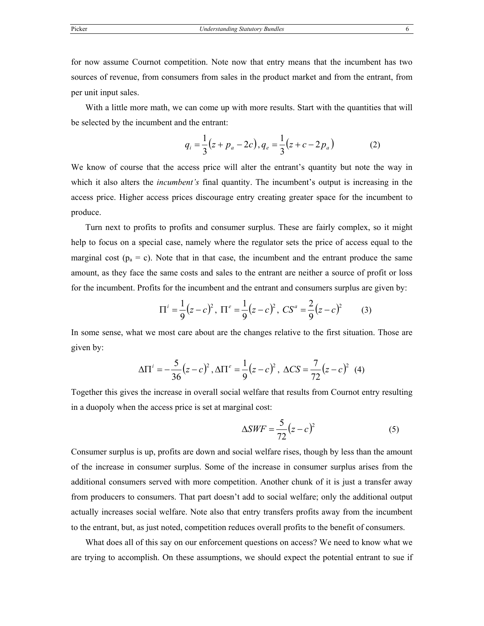for now assume Cournot competition. Note now that entry means that the incumbent has two sources of revenue, from consumers from sales in the product market and from the entrant, from per unit input sales.

With a little more math, we can come up with more results. Start with the quantities that will be selected by the incumbent and the entrant:

$$
q_i = \frac{1}{3}(z + p_a - 2c), q_e = \frac{1}{3}(z + c - 2p_a)
$$
 (2)

We know of course that the access price will alter the entrant's quantity but note the way in which it also alters the *incumbent's* final quantity. The incumbent's output is increasing in the access price. Higher access prices discourage entry creating greater space for the incumbent to produce.

Turn next to profits to profits and consumer surplus. These are fairly complex, so it might help to focus on a special case, namely where the regulator sets the price of access equal to the marginal cost ( $p_a = c$ ). Note that in that case, the incumbent and the entrant produce the same amount, as they face the same costs and sales to the entrant are neither a source of profit or loss for the incumbent. Profits for the incumbent and the entrant and consumers surplus are given by:

$$
\Pi^{i} = \frac{1}{9}(z - c)^{2}, \ \Pi^{e} = \frac{1}{9}(z - c)^{2}, \ CS^{a} = \frac{2}{9}(z - c)^{2} \tag{3}
$$

In some sense, what we most care about are the changes relative to the first situation. Those are given by:

$$
\Delta\Pi^{i} = -\frac{5}{36}(z-c)^{2}, \Delta\Pi^{e} = \frac{1}{9}(z-c)^{2}, \ \Delta CS = \frac{7}{72}(z-c)^{2} \tag{4}
$$

Together this gives the increase in overall social welfare that results from Cournot entry resulting in a duopoly when the access price is set at marginal cost:

$$
\Delta SWF = \frac{5}{72}(z - c)^2 \tag{5}
$$

Consumer surplus is up, profits are down and social welfare rises, though by less than the amount of the increase in consumer surplus. Some of the increase in consumer surplus arises from the additional consumers served with more competition. Another chunk of it is just a transfer away from producers to consumers. That part doesn't add to social welfare; only the additional output actually increases social welfare. Note also that entry transfers profits away from the incumbent to the entrant, but, as just noted, competition reduces overall profits to the benefit of consumers.

What does all of this say on our enforcement questions on access? We need to know what we are trying to accomplish. On these assumptions, we should expect the potential entrant to sue if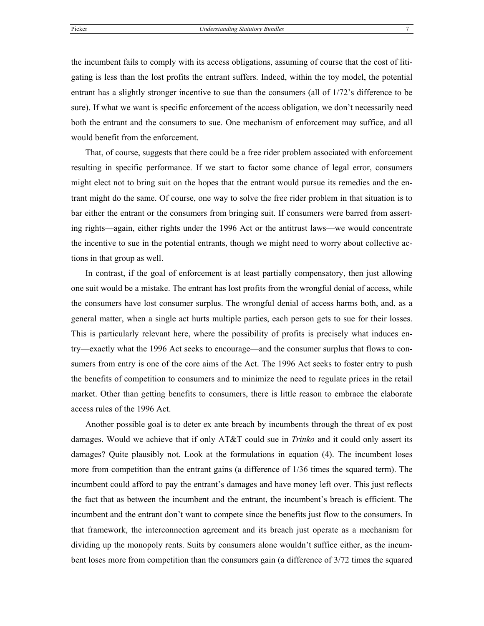the incumbent fails to comply with its access obligations, assuming of course that the cost of litigating is less than the lost profits the entrant suffers. Indeed, within the toy model, the potential entrant has a slightly stronger incentive to sue than the consumers (all of 1/72's difference to be sure). If what we want is specific enforcement of the access obligation, we don't necessarily need both the entrant and the consumers to sue. One mechanism of enforcement may suffice, and all would benefit from the enforcement.

That, of course, suggests that there could be a free rider problem associated with enforcement resulting in specific performance. If we start to factor some chance of legal error, consumers might elect not to bring suit on the hopes that the entrant would pursue its remedies and the entrant might do the same. Of course, one way to solve the free rider problem in that situation is to bar either the entrant or the consumers from bringing suit. If consumers were barred from asserting rights—again, either rights under the 1996 Act or the antitrust laws—we would concentrate the incentive to sue in the potential entrants, though we might need to worry about collective actions in that group as well.

In contrast, if the goal of enforcement is at least partially compensatory, then just allowing one suit would be a mistake. The entrant has lost profits from the wrongful denial of access, while the consumers have lost consumer surplus. The wrongful denial of access harms both, and, as a general matter, when a single act hurts multiple parties, each person gets to sue for their losses. This is particularly relevant here, where the possibility of profits is precisely what induces entry—exactly what the 1996 Act seeks to encourage—and the consumer surplus that flows to consumers from entry is one of the core aims of the Act. The 1996 Act seeks to foster entry to push the benefits of competition to consumers and to minimize the need to regulate prices in the retail market. Other than getting benefits to consumers, there is little reason to embrace the elaborate access rules of the 1996 Act.

Another possible goal is to deter ex ante breach by incumbents through the threat of ex post damages. Would we achieve that if only AT&T could sue in *Trinko* and it could only assert its damages? Quite plausibly not. Look at the formulations in equation (4). The incumbent loses more from competition than the entrant gains (a difference of 1/36 times the squared term). The incumbent could afford to pay the entrant's damages and have money left over. This just reflects the fact that as between the incumbent and the entrant, the incumbent's breach is efficient. The incumbent and the entrant don't want to compete since the benefits just flow to the consumers. In that framework, the interconnection agreement and its breach just operate as a mechanism for dividing up the monopoly rents. Suits by consumers alone wouldn't suffice either, as the incumbent loses more from competition than the consumers gain (a difference of 3/72 times the squared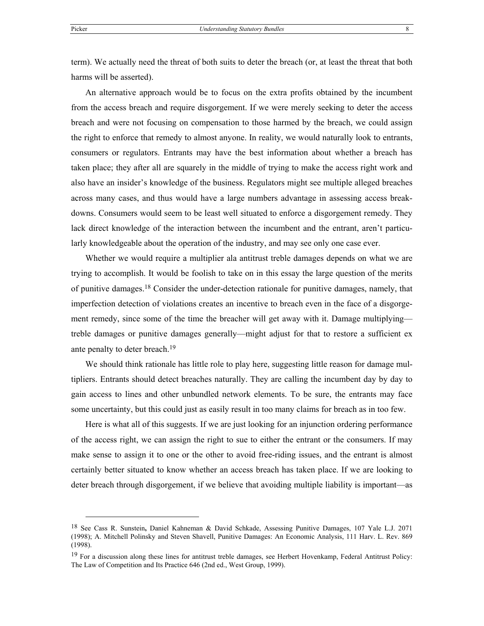1

term). We actually need the threat of both suits to deter the breach (or, at least the threat that both harms will be asserted).

An alternative approach would be to focus on the extra profits obtained by the incumbent from the access breach and require disgorgement. If we were merely seeking to deter the access breach and were not focusing on compensation to those harmed by the breach, we could assign the right to enforce that remedy to almost anyone. In reality, we would naturally look to entrants, consumers or regulators. Entrants may have the best information about whether a breach has taken place; they after all are squarely in the middle of trying to make the access right work and also have an insider's knowledge of the business. Regulators might see multiple alleged breaches across many cases, and thus would have a large numbers advantage in assessing access breakdowns. Consumers would seem to be least well situated to enforce a disgorgement remedy. They lack direct knowledge of the interaction between the incumbent and the entrant, aren't particularly knowledgeable about the operation of the industry, and may see only one case ever.

Whether we would require a multiplier ala antitrust treble damages depends on what we are trying to accomplish. It would be foolish to take on in this essay the large question of the merits of punitive damages.[18](#page-9-0) Consider the under-detection rationale for punitive damages, namely, that imperfection detection of violations creates an incentive to breach even in the face of a disgorgement remedy, since some of the time the breacher will get away with it. Damage multiplying treble damages or punitive damages generally—might adjust for that to restore a sufficient ex ante penalty to deter breach.[19](#page-9-1)

We should think rationale has little role to play here, suggesting little reason for damage multipliers. Entrants should detect breaches naturally. They are calling the incumbent day by day to gain access to lines and other unbundled network elements. To be sure, the entrants may face some uncertainty, but this could just as easily result in too many claims for breach as in too few.

Here is what all of this suggests. If we are just looking for an injunction ordering performance of the access right, we can assign the right to sue to either the entrant or the consumers. If may make sense to assign it to one or the other to avoid free-riding issues, and the entrant is almost certainly better situated to know whether an access breach has taken place. If we are looking to deter breach through disgorgement, if we believe that avoiding multiple liability is important—as

<span id="page-9-0"></span><sup>18</sup> See Cass R. Sunstein**,** Daniel Kahneman & David Schkade, Assessing Punitive Damages, 107 Yale L.J. 2071 (1998); A. Mitchell Polinsky and Steven Shavell, Punitive Damages: An Economic Analysis, 111 Harv. L. Rev. 869 (1998).

<span id="page-9-1"></span><sup>&</sup>lt;sup>19</sup> For a discussion along these lines for antitrust treble damages, see Herbert Hovenkamp, Federal Antitrust Policy: The Law of Competition and Its Practice 646 (2nd ed., West Group, 1999).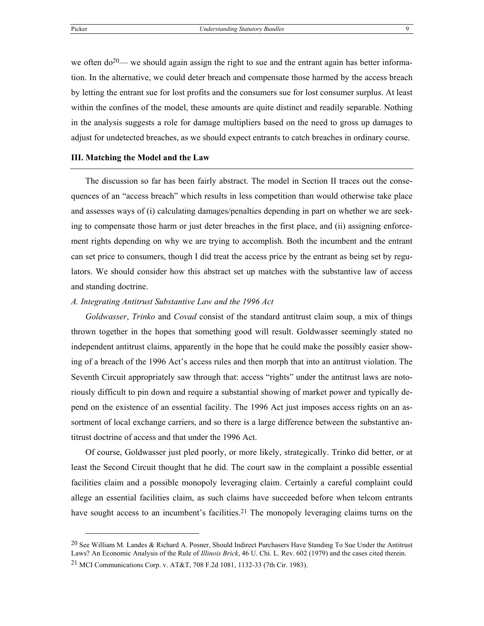we often  $d\sigma^{20}$ — we should again assign the right to sue and the entrant again has better information. In the alternative, we could deter breach and compensate those harmed by the access breach by letting the entrant sue for lost profits and the consumers sue for lost consumer surplus. At least within the confines of the model, these amounts are quite distinct and readily separable. Nothing in the analysis suggests a role for damage multipliers based on the need to gross up damages to adjust for undetected breaches, as we should expect entrants to catch breaches in ordinary course.

#### **III. Matching the Model and the Law**

The discussion so far has been fairly abstract. The model in Section II traces out the consequences of an "access breach" which results in less competition than would otherwise take place and assesses ways of (i) calculating damages/penalties depending in part on whether we are seeking to compensate those harm or just deter breaches in the first place, and (ii) assigning enforcement rights depending on why we are trying to accomplish. Both the incumbent and the entrant can set price to consumers, though I did treat the access price by the entrant as being set by regulators. We should consider how this abstract set up matches with the substantive law of access and standing doctrine.

#### *A. Integrating Antitrust Substantive Law and the 1996 Act*

*Goldwasser*, *Trinko* and *Covad* consist of the standard antitrust claim soup, a mix of things thrown together in the hopes that something good will result. Goldwasser seemingly stated no independent antitrust claims, apparently in the hope that he could make the possibly easier showing of a breach of the 1996 Act's access rules and then morph that into an antitrust violation. The Seventh Circuit appropriately saw through that: access "rights" under the antitrust laws are notoriously difficult to pin down and require a substantial showing of market power and typically depend on the existence of an essential facility. The 1996 Act just imposes access rights on an assortment of local exchange carriers, and so there is a large difference between the substantive antitrust doctrine of access and that under the 1996 Act.

Of course, Goldwasser just pled poorly, or more likely, strategically. Trinko did better, or at least the Second Circuit thought that he did. The court saw in the complaint a possible essential facilities claim and a possible monopoly leveraging claim. Certainly a careful complaint could allege an essential facilities claim, as such claims have succeeded before when telcom entrants have sought access to an incumbent's facilities.<sup>21</sup> The monopoly leveraging claims turns on the

l

<span id="page-10-0"></span> $^{20}$  See William M. Landes & Richard A. Posner, Should Indirect Purchasers Have Standing To Sue Under the Antitrust Laws? An Economic Analysis of the Rule of *Illinois Brick*, 46 U. Chi. L. Rev. 602 (1979) and the cases cited therein.

<span id="page-10-1"></span><sup>21</sup> MCI Communications Corp. v. AT&T, 708 F.2d 1081, 1132-33 (7th Cir. 1983).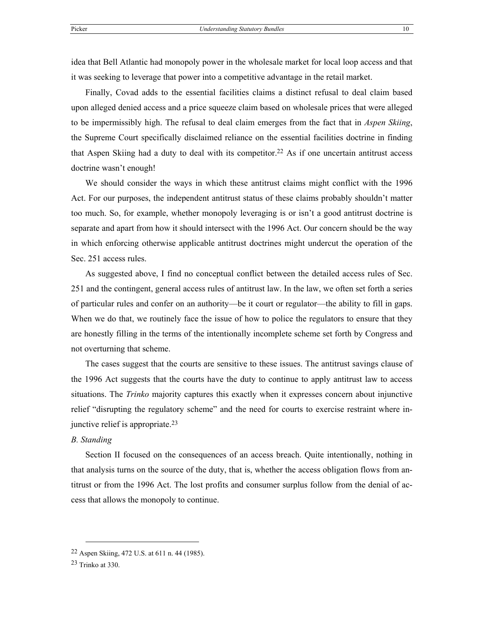idea that Bell Atlantic had monopoly power in the wholesale market for local loop access and that it was seeking to leverage that power into a competitive advantage in the retail market.

Finally, Covad adds to the essential facilities claims a distinct refusal to deal claim based upon alleged denied access and a price squeeze claim based on wholesale prices that were alleged to be impermissibly high. The refusal to deal claim emerges from the fact that in *Aspen Skiing*, the Supreme Court specifically disclaimed reliance on the essential facilities doctrine in finding that Aspen Skiing had a duty to deal with its competitor[.22](#page-11-0) As if one uncertain antitrust access doctrine wasn't enough!

We should consider the ways in which these antitrust claims might conflict with the 1996 Act. For our purposes, the independent antitrust status of these claims probably shouldn't matter too much. So, for example, whether monopoly leveraging is or isn't a good antitrust doctrine is separate and apart from how it should intersect with the 1996 Act. Our concern should be the way in which enforcing otherwise applicable antitrust doctrines might undercut the operation of the Sec. 251 access rules.

As suggested above, I find no conceptual conflict between the detailed access rules of Sec. 251 and the contingent, general access rules of antitrust law. In the law, we often set forth a series of particular rules and confer on an authority—be it court or regulator—the ability to fill in gaps. When we do that, we routinely face the issue of how to police the regulators to ensure that they are honestly filling in the terms of the intentionally incomplete scheme set forth by Congress and not overturning that scheme.

The cases suggest that the courts are sensitive to these issues. The antitrust savings clause of the 1996 Act suggests that the courts have the duty to continue to apply antitrust law to access situations. The *Trinko* majority captures this exactly when it expresses concern about injunctive relief "disrupting the regulatory scheme" and the need for courts to exercise restraint where injunctive relief is appropriate[.23](#page-11-1)

#### *B. Standing*

Section II focused on the consequences of an access breach. Quite intentionally, nothing in that analysis turns on the source of the duty, that is, whether the access obligation flows from antitrust or from the 1996 Act. The lost profits and consumer surplus follow from the denial of access that allows the monopoly to continue.

-

<span id="page-11-0"></span><sup>22</sup> Aspen Skiing, 472 U.S. at 611 n. 44 (1985).

<span id="page-11-1"></span><sup>23</sup> Trinko at 330.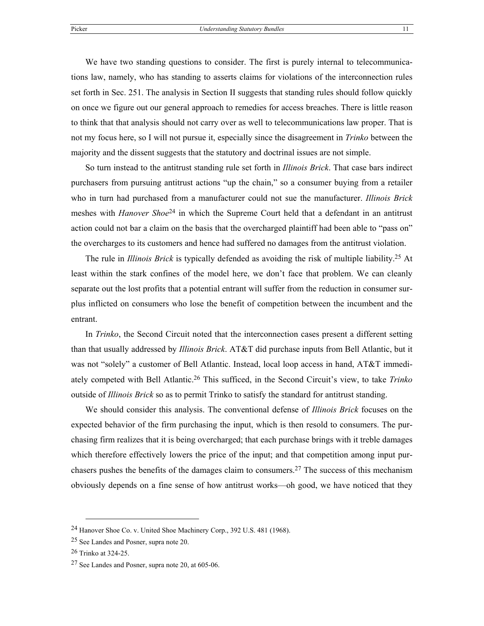We have two standing questions to consider. The first is purely internal to telecommunications law, namely, who has standing to asserts claims for violations of the interconnection rules set forth in Sec. 251. The analysis in Section II suggests that standing rules should follow quickly on once we figure out our general approach to remedies for access breaches. There is little reason to think that that analysis should not carry over as well to telecommunications law proper. That is not my focus here, so I will not pursue it, especially since the disagreement in *Trinko* between the majority and the dissent suggests that the statutory and doctrinal issues are not simple.

So turn instead to the antitrust standing rule set forth in *Illinois Brick*. That case bars indirect purchasers from pursuing antitrust actions "up the chain," so a consumer buying from a retailer who in turn had purchased from a manufacturer could not sue the manufacturer. *Illinois Brick* meshes with *Hanover Shoe*[24](#page-12-0) in which the Supreme Court held that a defendant in an antitrust action could not bar a claim on the basis that the overcharged plaintiff had been able to "pass on" the overcharges to its customers and hence had suffered no damages from the antitrust violation.

The rule in *Illinois Brick* is typically defended as avoiding the risk of multiple liability.[25](#page-12-1) At least within the stark confines of the model here, we don't face that problem. We can cleanly separate out the lost profits that a potential entrant will suffer from the reduction in consumer surplus inflicted on consumers who lose the benefit of competition between the incumbent and the entrant.

In *Trinko*, the Second Circuit noted that the interconnection cases present a different setting than that usually addressed by *Illinois Brick*. AT&T did purchase inputs from Bell Atlantic, but it was not "solely" a customer of Bell Atlantic. Instead, local loop access in hand, AT&T immediately competed with Bell Atlantic[.26](#page-12-2) This sufficed, in the Second Circuit's view, to take *Trinko* outside of *Illinois Brick* so as to permit Trinko to satisfy the standard for antitrust standing.

We should consider this analysis. The conventional defense of *Illinois Brick* focuses on the expected behavior of the firm purchasing the input, which is then resold to consumers. The purchasing firm realizes that it is being overcharged; that each purchase brings with it treble damages which therefore effectively lowers the price of the input; and that competition among input purchasers pushes the benefits of the damages claim to consumers.<sup>27</sup> The success of this mechanism obviously depends on a fine sense of how antitrust works—oh good, we have noticed that they

<span id="page-12-0"></span><sup>24</sup> Hanover Shoe Co. v. United Shoe Machinery Corp., 392 U.S. 481 (1968).

<span id="page-12-1"></span><sup>25</sup> See Landes and Posner, supra note 20.

<span id="page-12-2"></span><sup>26</sup> Trinko at 324-25.

<span id="page-12-3"></span><sup>27</sup> See Landes and Posner, supra note 20, at 605-06.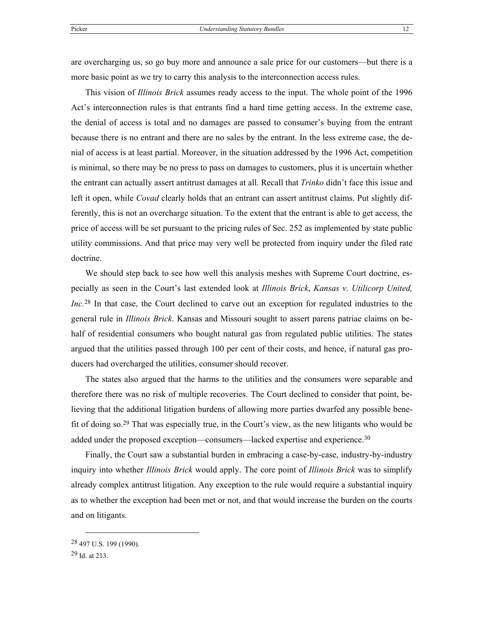are overcharging us, so go buy more and announce a sale price for our customers—but there is a more basic point as we try to carry this analysis to the interconnection access rules.

This vision of *Illinois Brick* assumes ready access to the input. The whole point of the 1996 Act's interconnection rules is that entrants find a hard time getting access. In the extreme case, the denial of access is total and no damages are passed to consumer's buying from the entrant because there is no entrant and there are no sales by the entrant. In the less extreme case, the denial of access is at least partial. Moreover, in the situation addressed by the 1996 Act, competition is minimal, so there may be no press to pass on damages to customers, plus it is uncertain whether the entrant can actually assert antitrust damages at all. Recall that *Trinko* didn't face this issue and left it open, while *Covad* clearly holds that an entrant can assert antitrust claims. Put slightly differently, this is not an overcharge situation. To the extent that the entrant is able to get access, the price of access will be set pursuant to the pricing rules of Sec. 252 as implemented by state public utility commissions. And that price may very well be protected from inquiry under the filed rate doctrine.

We should step back to see how well this analysis meshes with Supreme Court doctrine, especially as seen in the Court's last extended look at *Illinois Brick*, *Kansas v. Utilicorp United, Inc.*[28](#page-13-0) In that case, the Court declined to carve out an exception for regulated industries to the general rule in *Illinois Brick*. Kansas and Missouri sought to assert parens patriae claims on behalf of residential consumers who bought natural gas from regulated public utilities. The states argued that the utilities passed through 100 per cent of their costs, and hence, if natural gas producers had overcharged the utilities, consumer should recover.

The states also argued that the harms to the utilities and the consumers were separable and therefore there was no risk of multiple recoveries. The Court declined to consider that point, believing that the additional litigation burdens of allowing more parties dwarfed any possible benefit of doing so.[29 T](#page-13-1)hat was especially true, in the Court's view, as the new litigants who would be added under the proposed exception—consumers—lacked expertise and experience.[30](#page-13-2)

Finally, the Court saw a substantial burden in embracing a case-by-case, industry-by-industry inquiry into whether *Illinois Brick* would apply. The core point of *Illinois Brick* was to simplify already complex antitrust litigation. Any exception to the rule would require a substantial inquiry as to whether the exception had been met or not, and that would increase the burden on the courts and on litigants.

<span id="page-13-2"></span><span id="page-13-0"></span><sup>28 497</sup> U.S. 199 (1990).

<span id="page-13-1"></span><sup>29</sup> Id. at 213.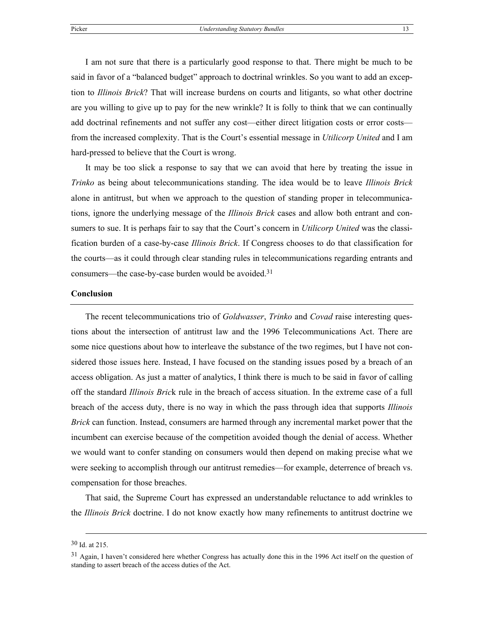I am not sure that there is a particularly good response to that. There might be much to be said in favor of a "balanced budget" approach to doctrinal wrinkles. So you want to add an exception to *Illinois Brick*? That will increase burdens on courts and litigants, so what other doctrine are you willing to give up to pay for the new wrinkle? It is folly to think that we can continually add doctrinal refinements and not suffer any cost—either direct litigation costs or error costs from the increased complexity. That is the Court's essential message in *Utilicorp United* and I am hard-pressed to believe that the Court is wrong.

It may be too slick a response to say that we can avoid that here by treating the issue in *Trinko* as being about telecommunications standing. The idea would be to leave *Illinois Brick* alone in antitrust, but when we approach to the question of standing proper in telecommunications, ignore the underlying message of the *Illinois Brick* cases and allow both entrant and consumers to sue. It is perhaps fair to say that the Court's concern in *Utilicorp United* was the classification burden of a case-by-case *Illinois Brick*. If Congress chooses to do that classification for the courts—as it could through clear standing rules in telecommunications regarding entrants and consumers—the case-by-case burden would be avoided.[31](#page-14-0)

#### **Conclusion**

The recent telecommunications trio of *Goldwasser*, *Trinko* and *Covad* raise interesting questions about the intersection of antitrust law and the 1996 Telecommunications Act. There are some nice questions about how to interleave the substance of the two regimes, but I have not considered those issues here. Instead, I have focused on the standing issues posed by a breach of an access obligation. As just a matter of analytics, I think there is much to be said in favor of calling off the standard *Illinois Bric*k rule in the breach of access situation. In the extreme case of a full breach of the access duty, there is no way in which the pass through idea that supports *Illinois Brick* can function. Instead, consumers are harmed through any incremental market power that the incumbent can exercise because of the competition avoided though the denial of access. Whether we would want to confer standing on consumers would then depend on making precise what we were seeking to accomplish through our antitrust remedies—for example, deterrence of breach vs. compensation for those breaches.

That said, the Supreme Court has expressed an understandable reluctance to add wrinkles to the *Illinois Brick* doctrine. I do not know exactly how many refinements to antitrust doctrine we

<sup>1</sup> 30 Id. at 215.

<span id="page-14-0"></span><sup>31</sup> Again, I haven't considered here whether Congress has actually done this in the 1996 Act itself on the question of standing to assert breach of the access duties of the Act.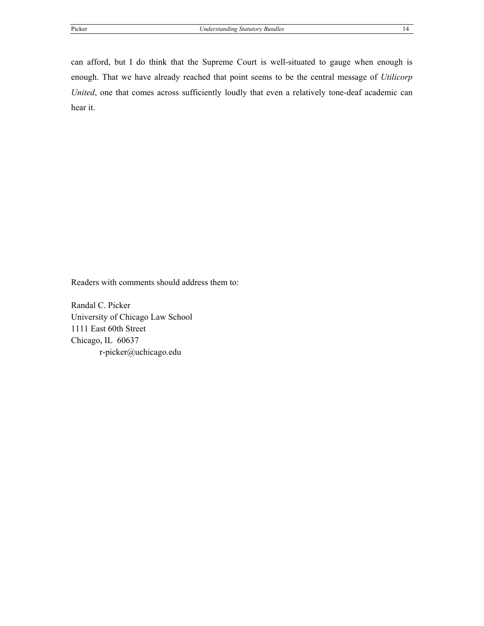can afford, but I do think that the Supreme Court is well-situated to gauge when enough is enough. That we have already reached that point seems to be the central message of *Utilicorp United*, one that comes across sufficiently loudly that even a relatively tone-deaf academic can hear it.

Readers with comments should address them to:

Randal C. Picker University of Chicago Law School 1111 East 60th Street Chicago, IL 60637 r-picker@uchicago.edu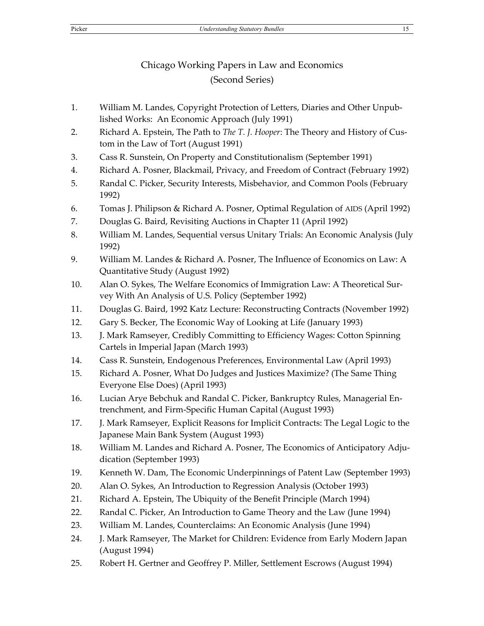## Chicago Working Papers in Law and Economics (Second Series)

- 1. William M. Landes, Copyright Protection of Letters, Diaries and Other Unpublished Works: An Economic Approach (July 1991)
- 2. Richard A. Epstein, The Path to *The T. J. Hooper*: The Theory and History of Custom in the Law of Tort (August 1991)
- 3. Cass R. Sunstein, On Property and Constitutionalism (September 1991)
- 4. Richard A. Posner, Blackmail, Privacy, and Freedom of Contract (February 1992)
- 5. Randal C. Picker, Security Interests, Misbehavior, and Common Pools (February 1992)
- 6. Tomas J. Philipson & Richard A. Posner, Optimal Regulation of AIDS (April 1992)
- 7. Douglas G. Baird, Revisiting Auctions in Chapter 11 (April 1992)
- 8. William M. Landes, Sequential versus Unitary Trials: An Economic Analysis (July 1992)
- 9. William M. Landes & Richard A. Posner, The Influence of Economics on Law: A Quantitative Study (August 1992)
- 10. Alan O. Sykes, The Welfare Economics of Immigration Law: A Theoretical Survey With An Analysis of U.S. Policy (September 1992)
- 11. Douglas G. Baird, 1992 Katz Lecture: Reconstructing Contracts (November 1992)
- 12. Gary S. Becker, The Economic Way of Looking at Life (January 1993)
- 13. J. Mark Ramseyer, Credibly Committing to Efficiency Wages: Cotton Spinning Cartels in Imperial Japan (March 1993)
- 14. Cass R. Sunstein, Endogenous Preferences, Environmental Law (April 1993)
- 15. Richard A. Posner, What Do Judges and Justices Maximize? (The Same Thing Everyone Else Does) (April 1993)
- 16. Lucian Arye Bebchuk and Randal C. Picker, Bankruptcy Rules, Managerial Entrenchment, and Firm-Specific Human Capital (August 1993)
- 17. J. Mark Ramseyer, Explicit Reasons for Implicit Contracts: The Legal Logic to the Japanese Main Bank System (August 1993)
- 18. William M. Landes and Richard A. Posner, The Economics of Anticipatory Adjudication (September 1993)
- 19. Kenneth W. Dam, The Economic Underpinnings of Patent Law (September 1993)
- 20. Alan O. Sykes, An Introduction to Regression Analysis (October 1993)
- 21. Richard A. Epstein, The Ubiquity of the Benefit Principle (March 1994)
- 22. Randal C. Picker, An Introduction to Game Theory and the Law (June 1994)
- 23. William M. Landes, Counterclaims: An Economic Analysis (June 1994)
- 24. J. Mark Ramseyer, The Market for Children: Evidence from Early Modern Japan (August 1994)
- 25. Robert H. Gertner and Geoffrey P. Miller, Settlement Escrows (August 1994)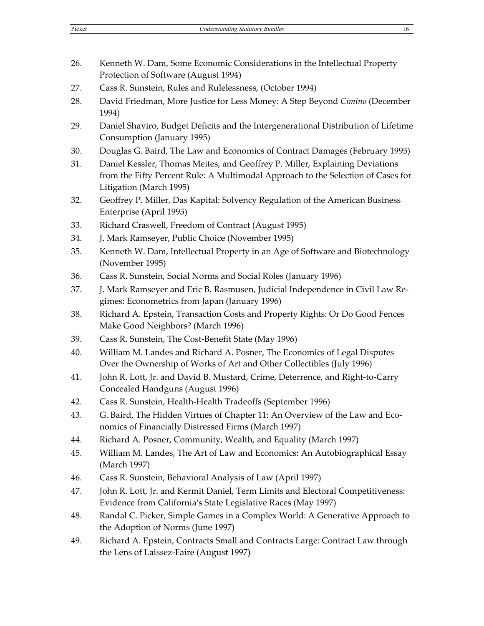| 26. | Kenneth W. Dam, Some Economic Considerations in the Intellectual Property<br>Protection of Software (August 1994)                                                                           |
|-----|---------------------------------------------------------------------------------------------------------------------------------------------------------------------------------------------|
| 27. | Cass R. Sunstein, Rules and Rulelessness, (October 1994)                                                                                                                                    |
| 28. | David Friedman, More Justice for Less Money: A Step Beyond Cimino (December<br>1994)                                                                                                        |
| 29. | Daniel Shaviro, Budget Deficits and the Intergenerational Distribution of Lifetime<br>Consumption (January 1995)                                                                            |
| 30. | Douglas G. Baird, The Law and Economics of Contract Damages (February 1995)                                                                                                                 |
| 31. | Daniel Kessler, Thomas Meites, and Geoffrey P. Miller, Explaining Deviations<br>from the Fifty Percent Rule: A Multimodal Approach to the Selection of Cases for<br>Litigation (March 1995) |
| 32. | Geoffrey P. Miller, Das Kapital: Solvency Regulation of the American Business<br>Enterprise (April 1995)                                                                                    |
| 33. | Richard Craswell, Freedom of Contract (August 1995)                                                                                                                                         |
| 34. | J. Mark Ramseyer, Public Choice (November 1995)                                                                                                                                             |
| 35. | Kenneth W. Dam, Intellectual Property in an Age of Software and Biotechnology<br>(November 1995)                                                                                            |
| 36. | Cass R. Sunstein, Social Norms and Social Roles (January 1996)                                                                                                                              |
| 37. | J. Mark Ramseyer and Eric B. Rasmusen, Judicial Independence in Civil Law Re-<br>gimes: Econometrics from Japan (January 1996)                                                              |
| 38. | Richard A. Epstein, Transaction Costs and Property Rights: Or Do Good Fences<br>Make Good Neighbors? (March 1996)                                                                           |
| 39. | Cass R. Sunstein, The Cost-Benefit State (May 1996)                                                                                                                                         |
| 40. | William M. Landes and Richard A. Posner, The Economics of Legal Disputes<br>Over the Ownership of Works of Art and Other Collectibles (July 1996)                                           |
| 41. | John R. Lott, Jr. and David B. Mustard, Crime, Deterrence, and Right-to-Carry<br>Concealed Handguns (August 1996)                                                                           |
| 42. | Cass R. Sunstein, Health-Health Tradeoffs (September 1996)                                                                                                                                  |
| 43. | G. Baird, The Hidden Virtues of Chapter 11: An Overview of the Law and Eco-<br>nomics of Financially Distressed Firms (March 1997)                                                          |
| 44. | Richard A. Posner, Community, Wealth, and Equality (March 1997)                                                                                                                             |
| 45. | William M. Landes, The Art of Law and Economics: An Autobiographical Essay<br>(March 1997)                                                                                                  |
| 46. | Cass R. Sunstein, Behavioral Analysis of Law (April 1997)                                                                                                                                   |
| 47. | John R. Lott, Jr. and Kermit Daniel, Term Limits and Electoral Competitiveness:<br>Evidence from California's State Legislative Races (May 1997)                                            |
| 48. | Randal C. Picker, Simple Games in a Complex World: A Generative Approach to<br>the Adoption of Norms (June 1997)                                                                            |
| 49. | Richard A. Epstein, Contracts Small and Contracts Large: Contract Law through<br>the Lens of Laissez-Faire (August 1997)                                                                    |
|     |                                                                                                                                                                                             |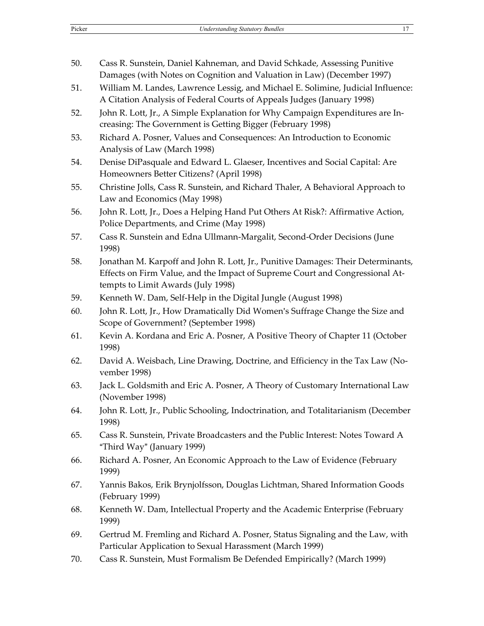| 50. | Cass R. Sunstein, Daniel Kahneman, and David Schkade, Assessing Punitive<br>Damages (with Notes on Cognition and Valuation in Law) (December 1997)                                                     |
|-----|--------------------------------------------------------------------------------------------------------------------------------------------------------------------------------------------------------|
| 51. | William M. Landes, Lawrence Lessig, and Michael E. Solimine, Judicial Influence:<br>A Citation Analysis of Federal Courts of Appeals Judges (January 1998)                                             |
| 52. | John R. Lott, Jr., A Simple Explanation for Why Campaign Expenditures are In-<br>creasing: The Government is Getting Bigger (February 1998)                                                            |
| 53. | Richard A. Posner, Values and Consequences: An Introduction to Economic<br>Analysis of Law (March 1998)                                                                                                |
| 54. | Denise DiPasquale and Edward L. Glaeser, Incentives and Social Capital: Are<br>Homeowners Better Citizens? (April 1998)                                                                                |
| 55. | Christine Jolls, Cass R. Sunstein, and Richard Thaler, A Behavioral Approach to<br>Law and Economics (May 1998)                                                                                        |
| 56. | John R. Lott, Jr., Does a Helping Hand Put Others At Risk?: Affirmative Action,<br>Police Departments, and Crime (May 1998)                                                                            |
| 57. | Cass R. Sunstein and Edna Ullmann-Margalit, Second-Order Decisions (June<br>1998)                                                                                                                      |
| 58. | Jonathan M. Karpoff and John R. Lott, Jr., Punitive Damages: Their Determinants,<br>Effects on Firm Value, and the Impact of Supreme Court and Congressional At-<br>tempts to Limit Awards (July 1998) |
| 59. | Kenneth W. Dam, Self-Help in the Digital Jungle (August 1998)                                                                                                                                          |
| 60. | John R. Lott, Jr., How Dramatically Did Women's Suffrage Change the Size and<br>Scope of Government? (September 1998)                                                                                  |
| 61. | Kevin A. Kordana and Eric A. Posner, A Positive Theory of Chapter 11 (October<br>1998)                                                                                                                 |
| 62. | David A. Weisbach, Line Drawing, Doctrine, and Efficiency in the Tax Law (No-<br>vember 1998)                                                                                                          |
| 63. | Jack L. Goldsmith and Eric A. Posner, A Theory of Customary International Law<br>(November 1998)                                                                                                       |
| 64. | John R. Lott, Jr., Public Schooling, Indoctrination, and Totalitarianism (December<br>1998)                                                                                                            |
| 65. | Cass R. Sunstein, Private Broadcasters and the Public Interest: Notes Toward A<br>"Third Way" (January 1999)                                                                                           |
| 66. | Richard A. Posner, An Economic Approach to the Law of Evidence (February<br>1999)                                                                                                                      |
| 67. | Yannis Bakos, Erik Brynjolfsson, Douglas Lichtman, Shared Information Goods<br>(February 1999)                                                                                                         |
| 68. | Kenneth W. Dam, Intellectual Property and the Academic Enterprise (February<br>1999)                                                                                                                   |
| 69. | Gertrud M. Fremling and Richard A. Posner, Status Signaling and the Law, with<br>Particular Application to Sexual Harassment (March 1999)                                                              |
| 70. | Cass R. Sunstein, Must Formalism Be Defended Empirically? (March 1999)                                                                                                                                 |
|     |                                                                                                                                                                                                        |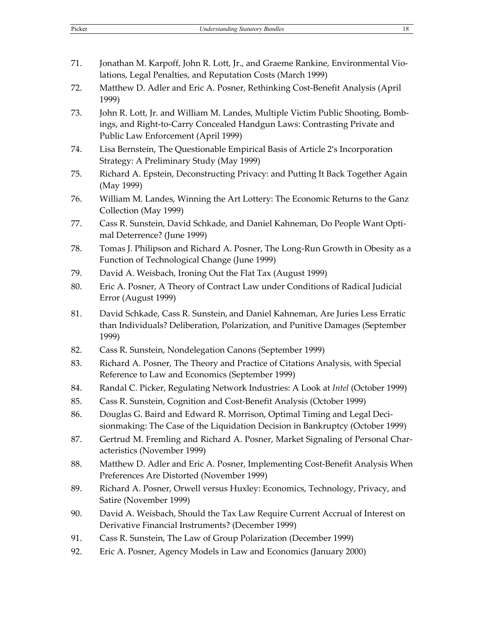- 71. Jonathan M. Karpoff, John R. Lott, Jr., and Graeme Rankine, Environmental Violations, Legal Penalties, and Reputation Costs (March 1999)
- 72. Matthew D. Adler and Eric A. Posner, Rethinking Cost-Benefit Analysis (April 1999)
- 73. John R. Lott, Jr. and William M. Landes, Multiple Victim Public Shooting, Bombings, and Right-to-Carry Concealed Handgun Laws: Contrasting Private and Public Law Enforcement (April 1999)
- 74. Lisa Bernstein, The Questionable Empirical Basis of Article 2's Incorporation Strategy: A Preliminary Study (May 1999)
- 75. Richard A. Epstein, Deconstructing Privacy: and Putting It Back Together Again (May 1999)
- 76. William M. Landes, Winning the Art Lottery: The Economic Returns to the Ganz Collection (May 1999)
- 77. Cass R. Sunstein, David Schkade, and Daniel Kahneman, Do People Want Optimal Deterrence? (June 1999)
- 78. Tomas J. Philipson and Richard A. Posner, The Long-Run Growth in Obesity as a Function of Technological Change (June 1999)
- 79. David A. Weisbach, Ironing Out the Flat Tax (August 1999)
- 80. Eric A. Posner, A Theory of Contract Law under Conditions of Radical Judicial Error (August 1999)
- 81. David Schkade, Cass R. Sunstein, and Daniel Kahneman, Are Juries Less Erratic than Individuals? Deliberation, Polarization, and Punitive Damages (September 1999)
- 82. Cass R. Sunstein, Nondelegation Canons (September 1999)
- 83. Richard A. Posner, The Theory and Practice of Citations Analysis, with Special Reference to Law and Economics (September 1999)
- 84. Randal C. Picker, Regulating Network Industries: A Look at *Intel* (October 1999)
- 85. Cass R. Sunstein, Cognition and Cost-Benefit Analysis (October 1999)
- 86. Douglas G. Baird and Edward R. Morrison, Optimal Timing and Legal Decisionmaking: The Case of the Liquidation Decision in Bankruptcy (October 1999)
- 87. Gertrud M. Fremling and Richard A. Posner, Market Signaling of Personal Characteristics (November 1999)
- 88. Matthew D. Adler and Eric A. Posner, Implementing Cost-Benefit Analysis When Preferences Are Distorted (November 1999)
- 89. Richard A. Posner, Orwell versus Huxley: Economics, Technology, Privacy, and Satire (November 1999)
- 90. David A. Weisbach, Should the Tax Law Require Current Accrual of Interest on Derivative Financial Instruments? (December 1999)
- 91. Cass R. Sunstein, The Law of Group Polarization (December 1999)
- 92. Eric A. Posner, Agency Models in Law and Economics (January 2000)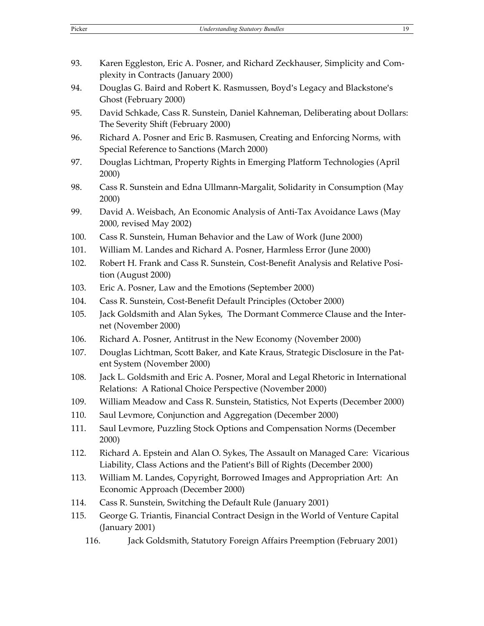- 93. Karen Eggleston, Eric A. Posner, and Richard Zeckhauser, Simplicity and Complexity in Contracts (January 2000)
- 94. Douglas G. Baird and Robert K. Rasmussen, Boyd's Legacy and Blackstone's Ghost (February 2000)
- 95. David Schkade, Cass R. Sunstein, Daniel Kahneman, Deliberating about Dollars: The Severity Shift (February 2000)
- 96. Richard A. Posner and Eric B. Rasmusen, Creating and Enforcing Norms, with Special Reference to Sanctions (March 2000)
- 97. Douglas Lichtman, Property Rights in Emerging Platform Technologies (April 2000)
- 98. Cass R. Sunstein and Edna Ullmann-Margalit, Solidarity in Consumption (May 2000)
- 99. David A. Weisbach, An Economic Analysis of Anti-Tax Avoidance Laws (May 2000, revised May 2002)
- 100. Cass R. Sunstein, Human Behavior and the Law of Work (June 2000)
- 101. William M. Landes and Richard A. Posner, Harmless Error (June 2000)
- 102. Robert H. Frank and Cass R. Sunstein, Cost-Benefit Analysis and Relative Position (August 2000)
- 103. Eric A. Posner, Law and the Emotions (September 2000)
- 104. Cass R. Sunstein, Cost-Benefit Default Principles (October 2000)
- 105. Jack Goldsmith and Alan Sykes, The Dormant Commerce Clause and the Internet (November 2000)
- 106. Richard A. Posner, Antitrust in the New Economy (November 2000)
- 107. Douglas Lichtman, Scott Baker, and Kate Kraus, Strategic Disclosure in the Patent System (November 2000)
- 108. Jack L. Goldsmith and Eric A. Posner, Moral and Legal Rhetoric in International Relations: A Rational Choice Perspective (November 2000)
- 109. William Meadow and Cass R. Sunstein, Statistics, Not Experts (December 2000)
- 110. Saul Levmore, Conjunction and Aggregation (December 2000)
- 111. Saul Levmore, Puzzling Stock Options and Compensation Norms (December 2000)
- 112. Richard A. Epstein and Alan O. Sykes, The Assault on Managed Care: Vicarious Liability, Class Actions and the Patient's Bill of Rights (December 2000)
- 113. William M. Landes, Copyright, Borrowed Images and Appropriation Art: An Economic Approach (December 2000)
- 114. Cass R. Sunstein, Switching the Default Rule (January 2001)
- 115. George G. Triantis, Financial Contract Design in the World of Venture Capital (January 2001)
	- 116. Jack Goldsmith, Statutory Foreign Affairs Preemption (February 2001)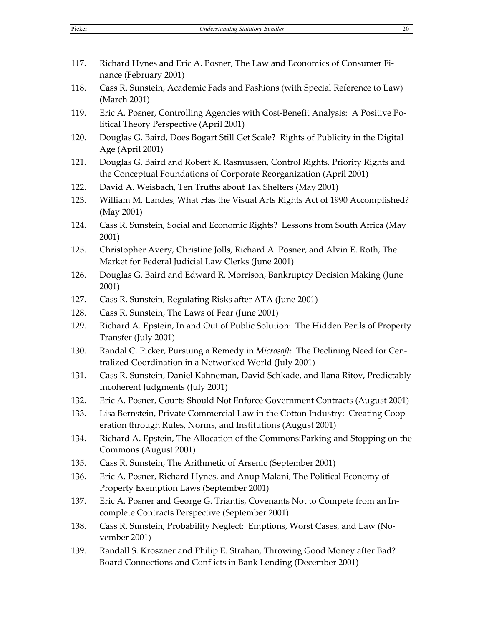| 117. | Richard Hynes and Eric A. Posner, The Law and Economics of Consumer Fi-<br>nance (February 2001)                                                     |
|------|------------------------------------------------------------------------------------------------------------------------------------------------------|
| 118. | Cass R. Sunstein, Academic Fads and Fashions (with Special Reference to Law)<br>(March 2001)                                                         |
| 119. | Eric A. Posner, Controlling Agencies with Cost-Benefit Analysis: A Positive Po-<br>litical Theory Perspective (April 2001)                           |
| 120. | Douglas G. Baird, Does Bogart Still Get Scale? Rights of Publicity in the Digital<br>Age (April 2001)                                                |
| 121. | Douglas G. Baird and Robert K. Rasmussen, Control Rights, Priority Rights and<br>the Conceptual Foundations of Corporate Reorganization (April 2001) |
| 122. | David A. Weisbach, Ten Truths about Tax Shelters (May 2001)                                                                                          |
| 123. | William M. Landes, What Has the Visual Arts Rights Act of 1990 Accomplished?<br>(May 2001)                                                           |
| 124. | Cass R. Sunstein, Social and Economic Rights? Lessons from South Africa (May<br>2001)                                                                |
| 125. | Christopher Avery, Christine Jolls, Richard A. Posner, and Alvin E. Roth, The<br>Market for Federal Judicial Law Clerks (June 2001)                  |
| 126. | Douglas G. Baird and Edward R. Morrison, Bankruptcy Decision Making (June<br>2001)                                                                   |
| 127. | Cass R. Sunstein, Regulating Risks after ATA (June 2001)                                                                                             |
| 128. | Cass R. Sunstein, The Laws of Fear (June 2001)                                                                                                       |
| 129. | Richard A. Epstein, In and Out of Public Solution: The Hidden Perils of Property<br>Transfer (July 2001)                                             |
| 130. | Randal C. Picker, Pursuing a Remedy in Microsoft: The Declining Need for Cen-<br>tralized Coordination in a Networked World (July 2001)              |
| 131. | Cass R. Sunstein, Daniel Kahneman, David Schkade, and Ilana Ritov, Predictably<br>Incoherent Judgments (July 2001)                                   |
| 132. | Eric A. Posner, Courts Should Not Enforce Government Contracts (August 2001)                                                                         |
| 133. | Lisa Bernstein, Private Commercial Law in the Cotton Industry: Creating Coop-<br>eration through Rules, Norms, and Institutions (August 2001)        |
| 134. | Richard A. Epstein, The Allocation of the Commons: Parking and Stopping on the<br>Commons (August 2001)                                              |
| 135. | Cass R. Sunstein, The Arithmetic of Arsenic (September 2001)                                                                                         |
| 136. | Eric A. Posner, Richard Hynes, and Anup Malani, The Political Economy of<br>Property Exemption Laws (September 2001)                                 |
| 137. | Eric A. Posner and George G. Triantis, Covenants Not to Compete from an In-<br>complete Contracts Perspective (September 2001)                       |
| 138. | Cass R. Sunstein, Probability Neglect: Emptions, Worst Cases, and Law (No-<br>vember 2001)                                                           |
| 139. | Randall S. Kroszner and Philip E. Strahan, Throwing Good Money after Bad?<br>Board Connections and Conflicts in Bank Lending (December 2001)         |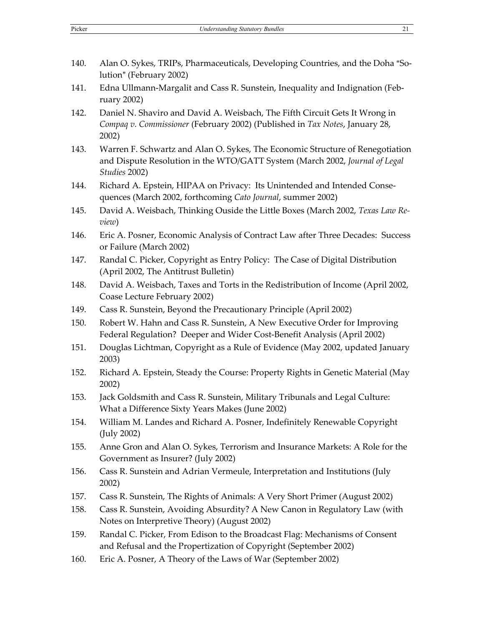| 140. | Alan O. Sykes, TRIPs, Pharmaceuticals, Developing Countries, and the Doha "So-<br>lution" (February 2002)                                                                     |
|------|-------------------------------------------------------------------------------------------------------------------------------------------------------------------------------|
| 141. | Edna Ullmann-Margalit and Cass R. Sunstein, Inequality and Indignation (Feb-<br>ruary 2002)                                                                                   |
| 142. | Daniel N. Shaviro and David A. Weisbach, The Fifth Circuit Gets It Wrong in<br>Compaq v. Commissioner (February 2002) (Published in Tax Notes, January 28,<br>2002)           |
| 143. | Warren F. Schwartz and Alan O. Sykes, The Economic Structure of Renegotiation<br>and Dispute Resolution in the WTO/GATT System (March 2002, Journal of Legal<br>Studies 2002) |
| 144. | Richard A. Epstein, HIPAA on Privacy: Its Unintended and Intended Conse-<br>quences (March 2002, forthcoming Cato Journal, summer 2002)                                       |
| 145. | David A. Weisbach, Thinking Ouside the Little Boxes (March 2002, Texas Law Re-<br>view)                                                                                       |
| 146. | Eric A. Posner, Economic Analysis of Contract Law after Three Decades: Success<br>or Failure (March 2002)                                                                     |
| 147. | Randal C. Picker, Copyright as Entry Policy: The Case of Digital Distribution<br>(April 2002, The Antitrust Bulletin)                                                         |
| 148. | David A. Weisbach, Taxes and Torts in the Redistribution of Income (April 2002,<br>Coase Lecture February 2002)                                                               |
| 149. | Cass R. Sunstein, Beyond the Precautionary Principle (April 2002)                                                                                                             |
| 150. | Robert W. Hahn and Cass R. Sunstein, A New Executive Order for Improving<br>Federal Regulation? Deeper and Wider Cost-Benefit Analysis (April 2002)                           |
| 151. | Douglas Lichtman, Copyright as a Rule of Evidence (May 2002, updated January<br>2003)                                                                                         |
| 152. | Richard A. Epstein, Steady the Course: Property Rights in Genetic Material (May<br>2002)                                                                                      |
| 153. | Jack Goldsmith and Cass R. Sunstein, Military Tribunals and Legal Culture:<br>What a Difference Sixty Years Makes (June 2002)                                                 |
| 154. | William M. Landes and Richard A. Posner, Indefinitely Renewable Copyright<br>(July 2002)                                                                                      |
| 155. | Anne Gron and Alan O. Sykes, Terrorism and Insurance Markets: A Role for the<br>Government as Insurer? (July 2002)                                                            |
| 156. | Cass R. Sunstein and Adrian Vermeule, Interpretation and Institutions (July<br>2002)                                                                                          |
| 157. | Cass R. Sunstein, The Rights of Animals: A Very Short Primer (August 2002)                                                                                                    |
| 158. | Cass R. Sunstein, Avoiding Absurdity? A New Canon in Regulatory Law (with<br>Notes on Interpretive Theory) (August 2002)                                                      |
| 159. | Randal C. Picker, From Edison to the Broadcast Flag: Mechanisms of Consent<br>and Refusal and the Propertization of Copyright (September 2002)                                |
| 160. | Eric A. Posner, A Theory of the Laws of War (September 2002)                                                                                                                  |